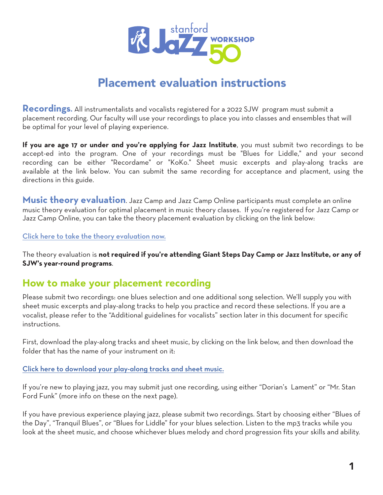

# Placement evaluation instructions

**Recordings.** All instrumentalists and vocalists registered for a 2022 SJW program must submit a placement recording. Our faculty will use your recordings to place you into classes and ensembles that will be optimal for your level of playing experience.

**If you are age 17 or under and you're applying for Jazz Institute**, you must submit two recordings to be accept-ed into the program. One of your recordings must be "Blues for Liddle," and your second recording can be either "Recordame" or "KoKo." Sheet music excerpts and play-along tracks are available at the link below. You can submit the same recording for acceptance and placment, using the directions in this guide.

**Music theory evaluation**. Jazz Camp and Jazz Camp Online participants must complete an online music theory evaluation for optimal placement in music theory classes. If you're registered for Jazz Camp or Jazz Camp Online, you can take the theory placement evaluation by clicking on the link below:

[Click here to take the theory evaluation now.](https://docs.google.com/forms/d/e/1FAIpQLSe5GCibA3dzaszZ5T8nZDmCE1Ld7TroL6TvDQ9Uqe4gC27_IA/viewform)

The theory evaluation is **not required if you're attending Giant Steps Day Camp or Jazz Institute, or any of SJW's year-round programs**.

#### How to make your placement recording

Please submit two recordings: one blues selection and one additional song selection. We'll supply you with sheet music excerpts and play-along tracks to help you practice and record these selections. If you are a vocalist, please refer to the "Additional guidelines for vocalists" section later in this document for specific instructions.

First, download the play-along tracks and sheet music, by clicking on the link below, and then download the folder that has the name of your instrument on it:

#### [Click here to download your play-along tracks and sheet music.](https://www.dropbox.com/sh/d9wwbpcbhz4mor2/AADacBbDYuaeGkI7A5EhFzcpa?dl=0)

If you're new to playing jazz, you may submit just one recording, using either "Dorian's Lament" or "Mr. Stan Ford Funk" (more info on these on the next page).

If you have previous experience playing jazz, please submit two recordings. Start by choosing either "Blues of the Day", "Tranquil Blues", or "Blues for Liddle" for your blues selection. Listen to the mp3 tracks while you look at the sheet music, and choose whichever blues melody and chord progression fits your skills and ability.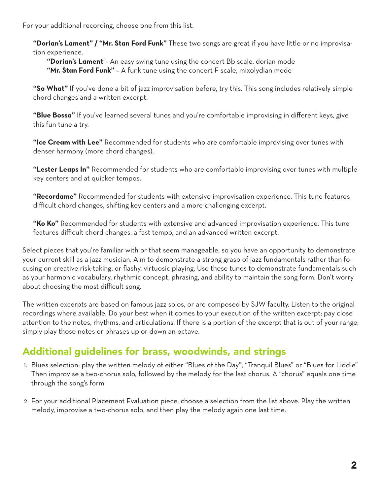For your additional recording, choose one from this list.

**"Dorian's Lament" / "Mr. Stan Ford Funk"** These two songs are great if you have little or no improvisation experience.

**"Dorian's Lament**"- An easy swing tune using the concert Bb scale, dorian mode **"Mr. Stan Ford Funk"** – A funk tune using the concert F scale, mixolydian mode

**"So What"** If you've done a bit of jazz improvisation before, try this. This song includes relatively simple chord changes and a written excerpt.

**"Blue Bossa"** If you've learned several tunes and you're comfortable improvising in different keys, give this fun tune a try.

**"Ice Cream with Lee"** Recommended for students who are comfortable improvising over tunes with denser harmony (more chord changes).

**"Lester Leaps In"** Recommended for students who are comfortable improvising over tunes with multiple key centers and at quicker tempos.

**"Recordame"** Recommended for students with extensive improvisation experience. This tune features difficult chord changes, shifting key centers and a more challenging excerpt.

**"Ko Ko"** Recommended for students with extensive and advanced improvisation experience. This tune features difficult chord changes, a fast tempo, and an advanced written excerpt.

Select pieces that you're familiar with or that seem manageable, so you have an opportunity to demonstrate your current skill as a jazz musician. Aim to demonstrate a strong grasp of jazz fundamentals rather than focusing on creative risk-taking, or flashy, virtuosic playing. Use these tunes to demonstrate fundamentals such as your harmonic vocabulary, rhythmic concept, phrasing, and ability to maintain the song form. Don't worry about choosing the most difficult song.

The written excerpts are based on famous jazz solos, or are composed by SJW faculty. Listen to the original recordings where available. Do your best when it comes to your execution of the written excerpt; pay close attention to the notes, rhythms, and articulations. If there is a portion of the excerpt that is out of your range, simply play those notes or phrases up or down an octave.

## Additional guidelines for brass, woodwinds, and strings

- 1. Blues selection: play the written melody of either "Blues of the Day", "Tranquil Blues" or "Blues for Liddle" Then improvise a two-chorus solo, followed by the melody for the last chorus. A "chorus" equals one time through the song's form.
- 2. For your additional Placement Evaluation piece, choose a selection from the list above. Play the written melody, improvise a two-chorus solo, and then play the melody again one last time.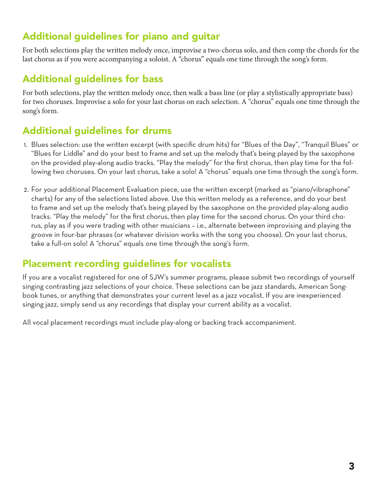## Additional guidelines for piano and guitar

For both selections play the written melody once, improvise a two-chorus solo, and then comp the chords for the last chorus as if you were accompanying a soloist. A "chorus" equals one time through the song's form.

### Additional guidelines for bass

For both selections, play the written melody once, then walk a bass line (or play a stylistically appropriate bass) for two choruses. Improvise a solo for your last chorus on each selection. A "chorus" equals one time through the song's form.

## Additional guidelines for drums

- 1. Blues selection: use the written excerpt (with specific drum hits) for "Blues of the Day", "Tranquil Blues" or "Blues for Liddle" and do your best to frame and set up the melody that's being played by the saxophone on the provided play-along audio tracks. "Play the melody" for the first chorus, then play time for the following two choruses. On your last chorus, take a solo! A "chorus" equals one time through the song's form.
- 2. For your additional Placement Evaluation piece, use the written excerpt (marked as "piano/vibraphone" charts) for any of the selections listed above. Use this written melody as a reference, and do your best to frame and set up the melody that's being played by the saxophone on the provided play-along audio tracks. "Play the melody" for the first chorus, then play time for the second chorus. On your third chorus, play as if you were trading with other musicians – i.e., alternate between improvising and playing the groove in four-bar phrases (or whatever division works with the song you choose). On your last chorus, take a full-on solo! A "chorus" equals one time through the song's form.

### Placement recording guidelines for vocalists

If you are a vocalist registered for one of SJW's summer programs, please submit two recordings of yourself singing contrasting jazz selections of your choice. These selections can be jazz standards, American Songbook tunes, or anything that demonstrates your current level as a jazz vocalist. If you are inexperienced singing jazz, simply send us any recordings that display your current ability as a vocalist.

All vocal placement recordings must include play-along or backing track accompaniment.